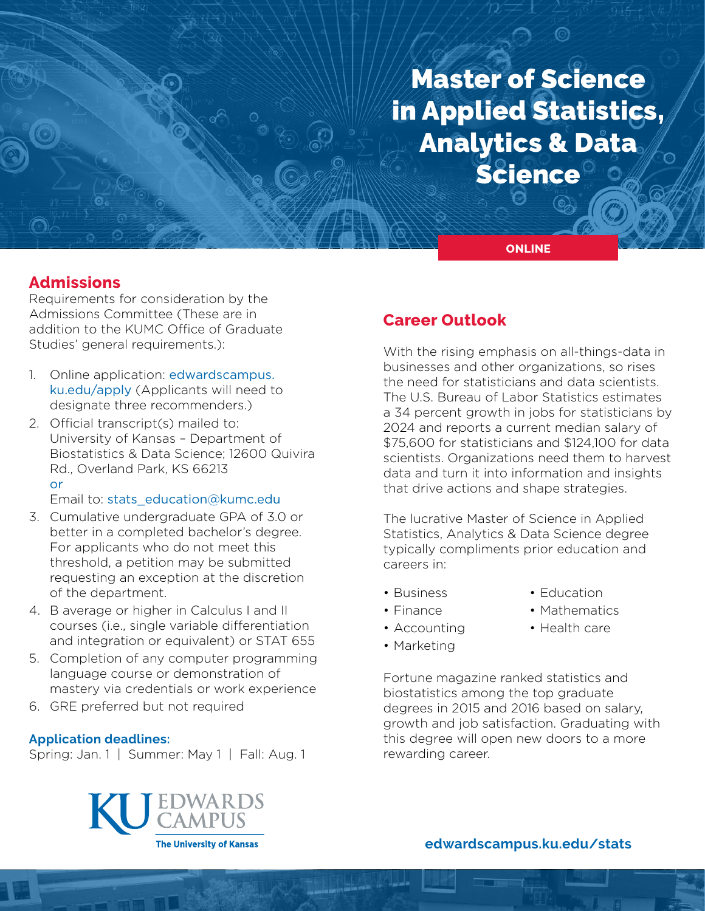# Master of Science in Applied Statistics, Analytics & Data **Science**

**ONLINE**

# **Admissions**

Requirements for consideration by the Admissions Committee (These are in addition to the KUMC Office of Graduate Studies' general requirements.):

- 1. Online application: [edwardscampus.](https://edwardscampus.ku.edu/apply) [ku.edu/apply](https://edwardscampus.ku.edu/apply) (Applicants will need to designate three recommenders.)
- 2. Official transcript(s) mailed to: University of Kansas – Department of Biostatistics & Data Science; 12600 Quivira Rd., Overland Park, KS 66213 or

Email to: [stats\\_education@kumc.edu](mailto:stats_education%40kumc.edu?subject=)

- 3. Cumulative undergraduate GPA of 3.0 or better in a completed bachelor's degree. For applicants who do not meet this threshold, a petition may be submitted requesting an exception at the discretion of the department.
- 4. B average or higher in Calculus I and II courses (i.e., single variable differentiation and integration or equivalent) or STAT 655
- 5. Completion of any computer programming language course or demonstration of mastery via credentials or work experience
- 6. GRE preferred but not required

### **Application deadlines:**

Spring: Jan. 1 | Summer: May 1 | Fall: Aug. 1



## **Career Outlook**

With the rising emphasis on all-things-data in businesses and other organizations, so rises the need for statisticians and data scientists. The U.S. Bureau of Labor Statistics estimates a 34 percent growth in jobs for statisticians by 2024 and reports a current median salary of \$75,600 for statisticians and \$124,100 for data scientists. Organizations need them to harvest data and turn it into information and insights that drive actions and shape strategies.

The lucrative Master of Science in Applied Statistics, Analytics & Data Science degree typically compliments prior education and careers in:

- Business
- Education
- Finance
- Mathematics • Health care
- Accounting
- Marketing
- Fortune magazine ranked statistics and biostatistics among the top graduate degrees in 2015 and 2016 based on salary, growth and job satisfaction. Graduating with this degree will open new doors to a more rewarding career.

## **[edwardscampus.ku.edu/s](https://edwardscampus.ku.edu/overview-masters-applied-statistics-analytics)tats**